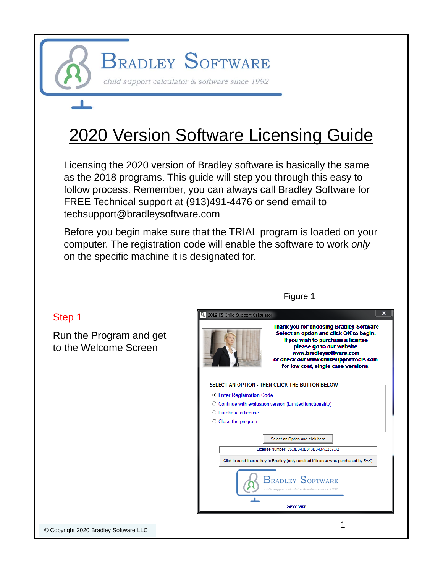**BRADLEY SOFTWARE** 

child support calculator & software since 1992

# 2020 Version Software Licensing Guide

Licensing the 2020 version of Bradley software is basically the same as the 2018 programs. This guide will step you through this easy to follow process. Remember, you can always call Bradley Software for FREE Technical support at (913)491-4476 or send email to techsupport@bradleysoftware.com

Before you begin make sure that the TRIAL program is loaded on your computer. The registration code will enable the software to work *only* on the specific machine it is designated for.

#### 2019 KS Child Support Calculat Thank you for choosing Bradley Software Select an option and click OK to begin. If you wish to purchase a license please go to our website www.bradleysoftware.com or check out www.childsupporttools.com for low cost, single case versions. SELECT AN OPTION - THEN CLICK THE BUTTON BELOW **C** Enter Registration Code C Continue with evaluation version (Limited functionality) O Purchase a license C Close the program Select an Option and click here License Number: 35.3D343E313B343A3237.32 Click to send license key to Bradley (only required if license was purchased by FAX)  ${\mathop{\mathsf{B}}}_{\mathsf{RADLEY}}$  Software 245663968 1

#### Figure 1

Step 1

Run the Program and get to the Welcome Screen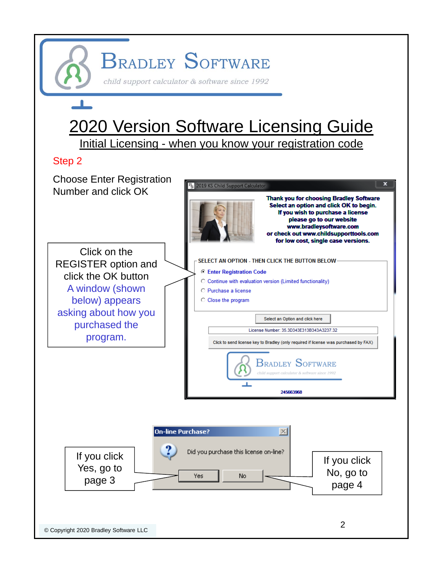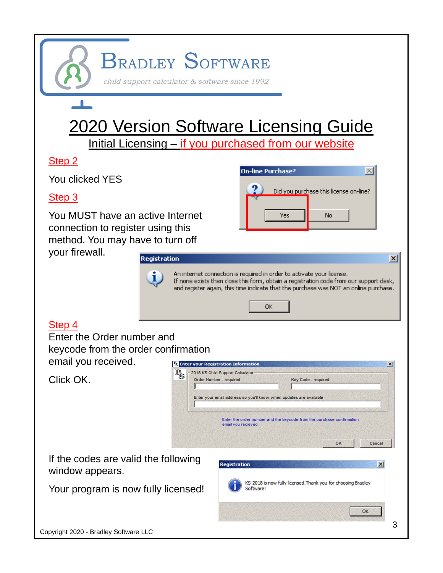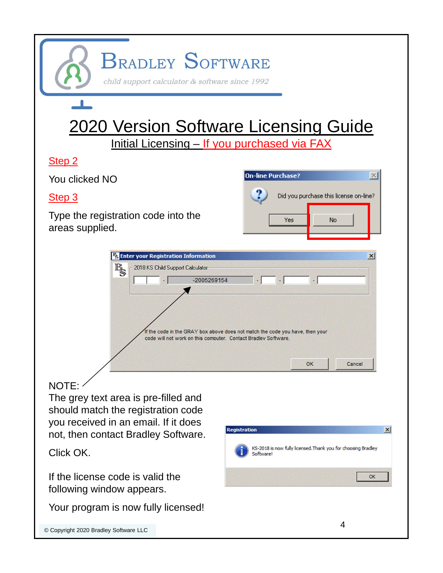## **BRADLEY SOFTWARE** child support calculator & software since 1992 2020 Version Software Licensing Guide Initial Licensing – If you purchased via FAXStep 2  $\overline{\mathbf{x}}$ **On-line Purchase?** You clicked NO

#### Step 3

Type the registration code into the areas supplied.





## NOTE:

The grey text area is pre-filled and should match the registration code you received in an email. If it does not, then contact Bradley Software.

Click OK.

If the license code is valid the following window appears.

Your program is now fully licensed!

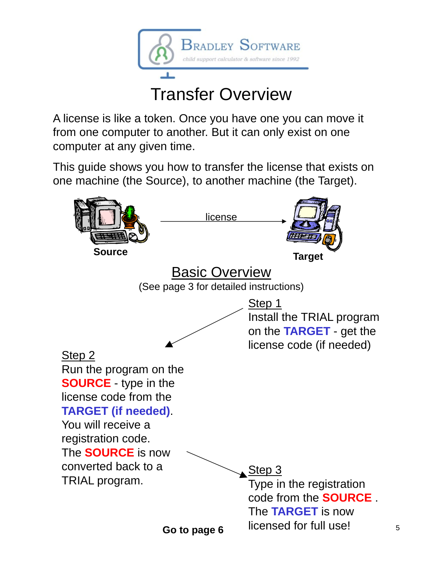

# Transfer Overview

A license is like a token. Once you have one you can move it from one computer to another. But it can only exist on one computer at any given time.

This guide shows you how to transfer the license that exists on one machine (the Source), to another machine (the Target).

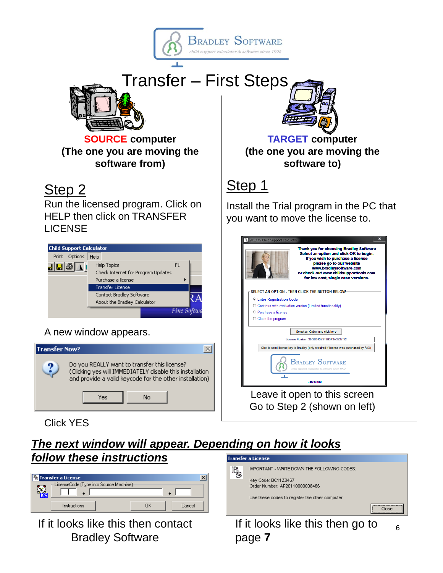



**SOURCE computer (The one you are moving the software from)**

## Step<sub>2</sub>

Run the licensed program. Click on HELP then click on TRANSFER LICENSE



### A new window appears.



**TARGET computer (the one you are moving the software to)**

## Step 1

Install the Trial program in the PC that you want to move the license to.

| ×<br>B <sub>S</sub> 2019 KS Child Support Calculator                                                                                                                                                                                                                   |  |  |  |
|------------------------------------------------------------------------------------------------------------------------------------------------------------------------------------------------------------------------------------------------------------------------|--|--|--|
| <b>Thank you for choosing Bradley Software</b><br>Select an option and click OK to begin.<br>If you wish to purchase a license<br>please go to our website<br>www.bradleysoftware.com<br>or check out www.childsupporttools.com<br>for low cost, single case versions. |  |  |  |
| SELECT AN OPTION - THEN CLICK THE BUTTON BELOW                                                                                                                                                                                                                         |  |  |  |
| <b>C</b> Enter Registration Code<br>C Continue with evaluation version (Limited functionality)<br>C. Purchase a license<br>C Close the program                                                                                                                         |  |  |  |
| Select an Option and click here                                                                                                                                                                                                                                        |  |  |  |
| License Number: 35 3D343F313B343A3237 32                                                                                                                                                                                                                               |  |  |  |
| Click to send license key to Bradley (only required if license was purchased by FAX)                                                                                                                                                                                   |  |  |  |
| <b>BRADLEY SOFTWARE</b><br>child support calculator & software since 1992<br>245663968                                                                                                                                                                                 |  |  |  |
| Leave it open to this screen                                                                                                                                                                                                                                           |  |  |  |

Go to Step 2 (shown on left)

Click YES

#### *The next window will appear. Depending on how it looks follow these instructions* **Transfer a License**

| <b>By</b> Transfer a License                   |    |        |
|------------------------------------------------|----|--------|
| - LicenseCode (Type into Source Machine)<br>τ. |    |        |
| Instructions                                   | ПΚ | Cancel |

If it looks like this then contact Bradley Software



If it looks like this then go to page **7** 6